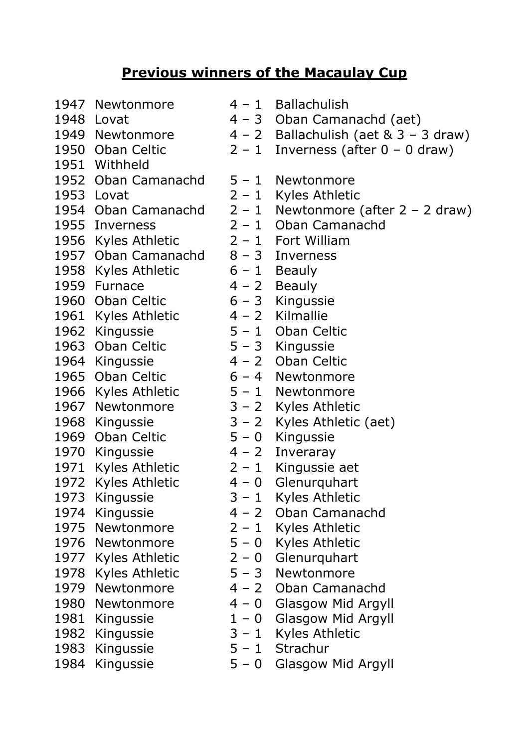## **Previous winners of the Macaulay Cup**

- 1947 Newtonmore 4 1 Ballachulish
- 
- 
- 
- 1951 Withheld
- 1952 Oban Camanachd 5 1 Newtonmore
- 
- 
- 
- 1956 Kyles Athletic 2 1 Fort William
- 1957 Oban Camanachd 8 3 Inverness
- 1958 Kyles Athletic 6 1 Beauly
- 
- 1960 Oban Celtic 6 3 Kingussie
- 1961 Kyles Athletic 4 2 Kilmallie
- 
- 1963 Oban Celtic 5 3 Kingussie
- 
- 
- 1966 Kyles Athletic 5 1 Newtonmore
- 
- 
- 1969 Oban Celtic 5 0 Kingussie
- 1970 Kingussie 4 2 Inveraray
- 
- 
- 
- 
- 
- 
- 
- 
- 
- 
- 
- 
- 
- 
- 
- 1948 Lovat  $4 3$  Oban Camanachd (aet)
- 1949 Newtonmore  $4 2$  Ballachulish (aet  $8 \times 3 3$  draw)
- 1950 Oban Celtic  $2 1$  Inverness (after  $0 0$  draw)
	-
- 1953 Lovat 2 1 Kyles Athletic
- 1954 Oban Camanachd  $2 1$  Newtonmore (after  $2 2$  draw)
- 1955 Inverness 2 1 Oban Camanachd
	-
	-
	-
- 1959 Furnace  $4 2$  Beauly
	-
	-
- 1962 Kingussie 5 1 Oban Celtic
	-
- 1964 Kingussie 4 2 Oban Celtic
- 1965 Oban Celtic 6 4 Newtonmore
	-
- 1967 Newtonmore 3 2 Kyles Athletic
- 1968 Kingussie 3 2 Kyles Athletic (aet)
	-
	-
- 1971 Kyles Athletic 2 1 Kingussie aet
- 1972 Kyles Athletic 4 0 Glenurguhart
- 1973 Kingussie 3 1 Kyles Athletic
- 1974 Kingussie 4 2 Oban Camanachd
- 1975 Newtonmore 2 1 Kyles Athletic
- 1976 Newtonmore 5 0 Kyles Athletic
- 1977 Kyles Athletic 2 0 Glenurquhart
- 1978 Kyles Athletic 5 3 Newtonmore
- 1979 Newtonmore 4 2 Oban Camanachd
- 1980 Newtonmore 4 0 Glasgow Mid Argyll
- 1981 Kingussie 1 0 Glasgow Mid Argyll
- 1982 Kingussie 3 1 Kyles Athletic
- 1983 Kingussie 5 1 Strachur
- 1984 Kingussie 5 0 Glasgow Mid Argyll